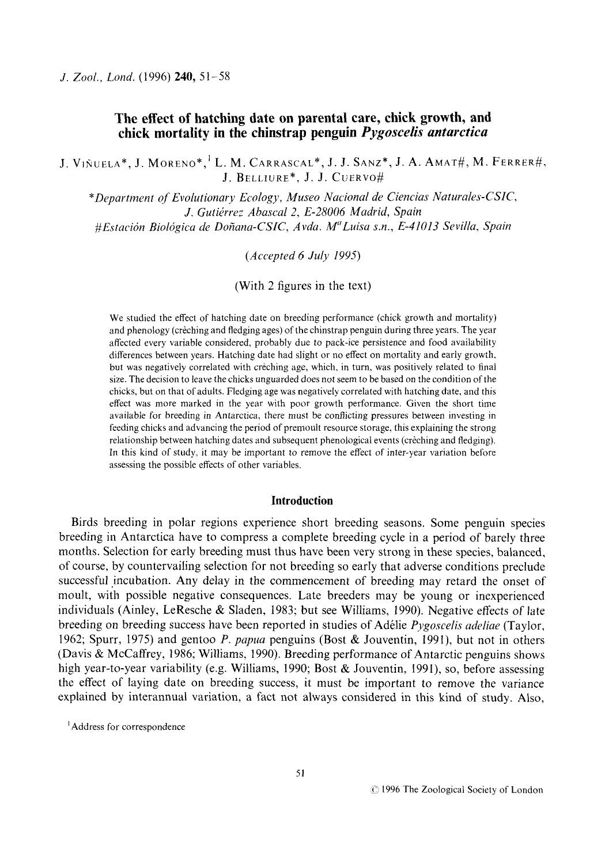# **The effect of hatching date on parental care, chick growth, and chick mortality in the chinstrap penguin** *Pygoscelis antarctica*

J. **VINUFLA",** J. MORENO\*,' L. M. **CARRASCAL",** J. **J. SANZ\*, J. A. AMAT#,** M. FERRER#, J. BELLIURF\*, J.J. CUERVO#

*"Department* of *Evolutionary Ecology, Museo Nucional de Ciencias Naturales-CSIC, J. Gutiirrez Ahuscul 2, E-28006 Madrid, Spain #Estacidn Bioldgicu de Dofiana-CSIC, Avdu. M"Luisa s.n., E-41013 Sevilla, Spain* 

*(Accepted 6 July 1995)* 

(With 2 figures in the text)

We studied the effect of hatching date on breeding performance (chick growth and mortality) and phenology (creching and fledging ages) of the chinstrap penguin during three years. The year affected every variable considered, probably due to pack-ice persistence and food availability differences between years. Hatching date had slight or no effect on mortality and early growth. but was negatively correlated with creching age, which, in turn, was positively related to final size. The decision to leave the chicks unguarded does not seem to be based on the condition of the chicks, but on that of adults. Fledging age was negatively correlated with hatching date, and this effect was more marked in the year with poor growth performance. Given the short time available for breeding in Antarctica, there must be conflicting pressures between investing in feeding chicks and advancing the period of premoult resource storage, this explaining the strong relationship between hatching dates and subsequent phenological events (creching and fledging). In this kind of study, it may be important to remove the effect of inter-year variation before assessing the possible effects of other variables.

### **Introduction**

Birds breeding in polar regions experience short breeding seasons. Some penguin species breeding in Antarctica have to compress a complete breeding cycle in a period of barely three months. Selection for early breeding must thus have been very strong in these species, balanced, of course, by countervailing selection for not breeding so early that adverse conditions preclude successful incubation. Any delay in the commencement of breeding may retard the onset of moult, with possible negative consequences. Late breeders may be young or inexperienced individuals (Ainley, LeResche & Sladen, 1983; but see Williams, 1990). Negative effects of late breeding on breeding success have been reported in studies of Addie *Pygoscelis adeliae* (Taylor, 1962; Spurr, 1975) and gentoo P. *papua* penguins (Bost & Jouventin, 1991), but not in others (Davis & McCaffrey, 1986; Williams, 1990). Breeding performance of Antarctic penguins shows high year-to-year variability (e.g. Williams, 1990; Bost & Jouventin, 1991), so, before assessing the effect of laying date on breeding success, it must be important to remove the variance explained by interannual variation, a fact not always considered in this kind of study. Also,

<sup>&#</sup>x27; Address for correspondence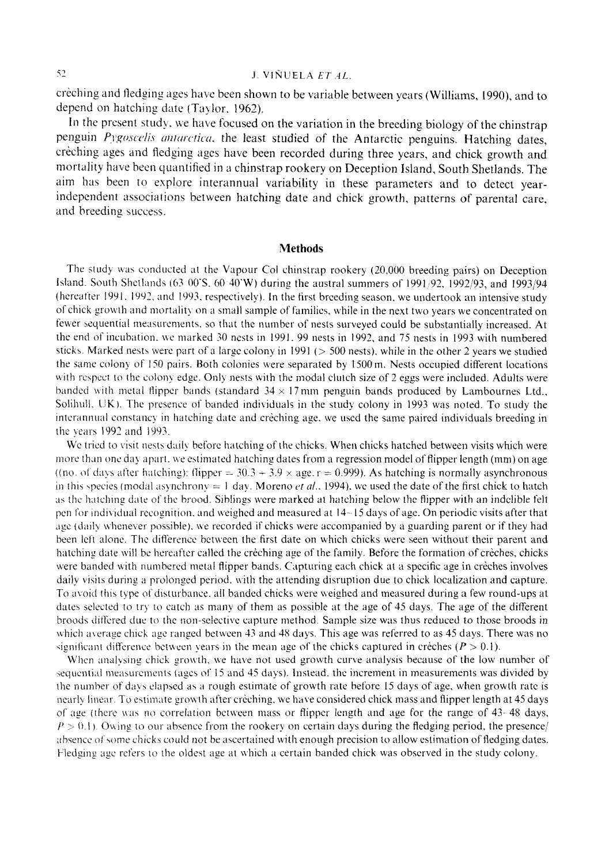crèching and fledging ages have been shown to be variable between years (Williams, 1990), and to depend on hatching date (Taylor, 1962).

In the present study, we have focused on the variation in the breeding biology of the chinstrap penguin *Pygoscelis antarctica*, the least studied of the Antarctic penguins. Hatching dates, creching ages and fledging ages have been recorded during three years, and chick growth and mortality have been quantified in a chinstrap rookery on Deception Island, South Shetlands. The aim has been to explore interannual variability in these parameters and to detect yearindependent associations between hatching date and chick growth, patterns of parental care, and breeding success.

#### **Methods**

The study was conducted at the Vapour Col chinstrap rookery (20,000 breeding pairs) on Deception Island. South Shetlands (63 00'S, 60 40'W) during the austral summers of 1991/92, 1992/93, and 1993/94 (hereatter 1991, 1992, and 1993, respectively). In the first breeding season, we undertook an intensive study of chick growth and mortality on a small sample of families, while in the next two years we concentrated on fewer sequential measurements, so that the number of nests surveyed could be substantially increased. At the end of incubation. we marked 30 nests in 1991. 99 nests in 1992, and 75 nests in 1993 with numbered sticks. Marked nests were part of a large colony in 1991 ( $>$  500 nests), while in the other 2 years we studied the same colony of 150 pairs. Both colonies were separated by 1500 m. Nests occupied different locations with respect to the colony edge. Only nests with the modal clutch size of 2 eggs were included. Adults were banded nith metal flipper bands (standard 34 x **17** nim penguin bands produced by Lambournes Ltd., Solihull, UK). The presence of banded individuals in the study colony in 1993 was noted. To study the interannual constancy in hatching date and creching age, we used the same paired individuals breeding in the years 1992 and 1993.

We tried to visit nests daily before hatching of the chicks. When chicks hatched between visits which were more than one day apart, we estimated hatching dates from a regression model of flipper length (mm) on age ((no. of days after hatching): flipper =  $30.3 + 3.9 \times age.$  **I** = 0.999). As hatching is normally asynchronous in this species (modal asynchrony  $= 1$  day. Moreno *et al.*, 1994), we used the date of the first chick to hatch **;IS** thc Iiatchitig *ciait.* of thc brood. Siblings **itere** marked at harcliing below the flipper with an indelible felt pen for individual recognition, and weighed and measured at 14-15 days of age. On periodic visits after that age (daily whenever possible), we recorded if chicks were accompanied by a guarding parent or if they had been left alone. The difference between the first date on which chicks were seen without their parent and hatching date will bs hereafter called the creching **ape** of the family. Beforc the formation of criches, chicks were banded with numbered metal flipper bands. Capturing each chick at a specific age in crèches involves daily visits during a prolonged period, with the attending disruption due to chick localization and capture. To avoid this type of disturbance, all banded chicks were weighed and measured during a few round-ups at dates selected to try to catch as many of them as possible at the age of 45 days. The age of the different broods Jitkred due **to** thc non-selective capture method. Sample size was thus reduced to those broods in which average chick age ranged between 43 and 48 days. This age was referred to as 45 days. There was no significant difference between years in the mean age of the chicks captured in creches  $(P > 0.1)$ .

When analysing chick growth, we have not used growth curve analysis because of the low number of sequential measurements (ages of 15 and 45 days). Instead, the increment in measurements was divided by the number of days elapsed as a rough estimate of growth rate before 15 days of age, when growth rate is nearly linear. To estimate growth after crèching, we have considered chick mass and flipper length at 45 days of age (there was no correlation between mass or flipper length and age for the range of 43-48 days,  $P > 0.1$ . Owing to our absence from the rookery on certain days during the fledging period, the presence/ absence of some chicks could not be ascertained with enough precision to allow estimation of fledging dates. Fledging age refers to the oldest age at which a certain banded chick was observed in the study colony.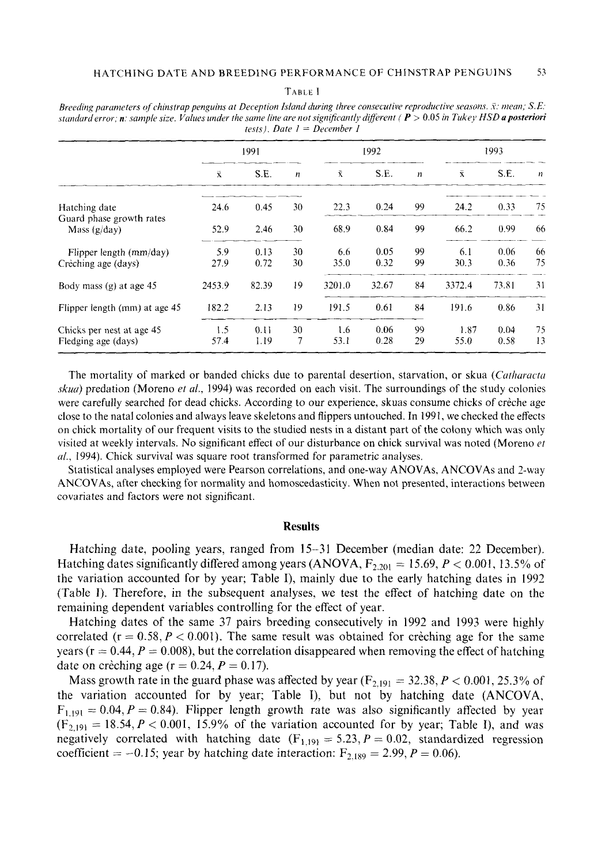**TARLE 1** 

|                                            | 1991               |       | 1992             |        |       | 1993             |           |       |            |
|--------------------------------------------|--------------------|-------|------------------|--------|-------|------------------|-----------|-------|------------|
|                                            | $\bar{\mathbf{x}}$ | S.E.  | $\boldsymbol{n}$ | Ŷ.     | S.E.  | $\boldsymbol{n}$ | $\bar{x}$ | S.E.  | $_{\rm H}$ |
| Hatching date                              | 24.6               | 0.45  | 30               | 22.3   | 0.24  | 99               | 24.2      | 0.33  | 75         |
| Guard phase growth rates<br>Mass $(g/day)$ | 52.9               | 2.46  | 30               | 68.9   | 0.84  | 99               | 66.2      | 0.99  | 66         |
| Flipper length $(mm/day)$                  | 5.9                | 0.13  | 30               | 6.6    | 0.05  | 99               | 6.1       | 0.06  | 66         |
| Crèching age (days)                        | 27.9               | 0.72  | 30               | 35.0   | 0.32  | 99               | 30.3      | 0.36  | 75         |
| Body mass (g) at age 45                    | 2453.9             | 82.39 | 19               | 3201.0 | 32.67 | 84               | 3372.4    | 73.81 | 31         |
| Flipper length (mm) at age 45              | 182.2              | 2.13  | 19               | 191.5  | 0.61  | 84               | 191.6     | 0.86  | 31         |
| Chicks per nest at age 45                  | 1.5                | 0.11  | 30               | 1.6    | 0.06  | -99              | 1.87      | 0.04  | 75         |
| Fledging age (days)                        | 57.4               | 1.19  | 7                | 53.1   | 0.28  | 29               | 55.0      | 0.58  | 13         |

*Breeding parameters of chinstrap penguins at Deception Island during three consecutive reproductive seasons.*  $\bar{x}$ *: mean; S.E:* standard error; n: sample size. Values under the same line are not significantly different ( $P > 0.05$  in Tukey HSD a posteriori  $tests$ *)*  $Date$   $I = December$ *l* 

The mortality of marked or banded chicks due to parental desertion, starvation, or skua *(Catharacta skuo)* predation (Moreno *et al.,* 1994) was recorded on each visit. The surroundings of the study colonies were carefully searched for dead chicks. According to our experience, skuas consume chicks of crèche age close to the natal colonies and always leave skeletons and flippers untouched. In 1991, we checked the effects on chick mortality of our frequent visits to the studied nests in a distant part of the colony which was only visited at weekly intervals. No significant effect of our disturbance on chick survival was noted (Moreno *et a/.,* 1994). Chick survival was square root transformed for parametric analyses.

Statistical analyses employed were Pearson correlations, and one-way ANOVAs, ANCOVAs and 2-way ANCOVAs, after checking for normality and homoscedasticity. When not presented, interactions between covariates and factors were not significant.

#### **Results**

Hatching date, pooling years, ranged from 15-31 December (median date: 22 December). Hatching dates significantly differed among years  $(ANOVA, F_{2,201} = 15.69, P < 0.001, 13.5\%$  of the variation accounted for by year; Table I), mainly due to the early hatching dates in 1992 (Table **I).** Therefore, in the subsequent analyses, we test the effect of hatching date on the remaining dependent variables controlling for the effect of year.

Hatching dates of the same 37 pairs breeding consecutively in 1992 and 1993 were highly correlated ( $r = 0.58, P < 0.001$ ). The same result was obtained for creaching age for the same years ( $r = 0.44$ ,  $P = 0.008$ ), but the correlation disappeared when removing the effect of hatching date on crèching age ( $r = 0.24, P = 0.17$ ).

Mass growth rate in the guard phase was affected by year  $(F_{2,191} = 32.38, P < 0.001, 25.3\%$  of the variation accounted for by year; Table I), but not by hatching date **(ANCOVA,**   $F_{1,191} = 0.04, P = 0.84$ ). Flipper length growth rate was also significantly affected by year  $(F_{2,191} = 18.54, P < 0.001, 15.9\%$  of the variation accounted for by year; Table I), and was negatively correlated with hatching date  $(F_{1,191} = 5.23, P = 0.02,$  standardized regression coefficient  $= -0.15$ ; year by hatching date interaction:  $F_{2,189} = 2.99$ ,  $P = 0.06$ ).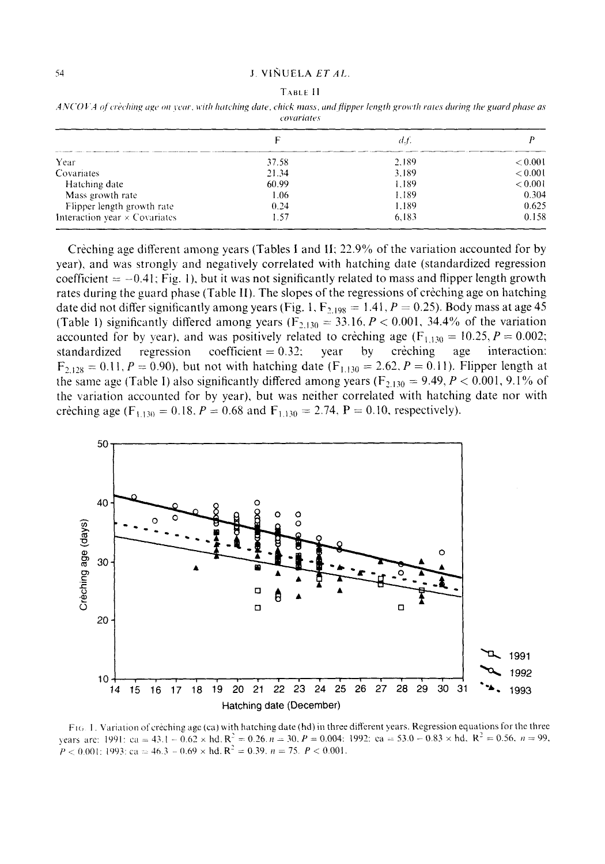#### TABLE II

| ANCOVA of crèching age on year, with hatching date, chick mass, and flipper length growth rates during the guard phase as |             |  |  |  |
|---------------------------------------------------------------------------------------------------------------------------|-------------|--|--|--|
|                                                                                                                           | covariates. |  |  |  |

|                                      |       | d.f   |         |  |
|--------------------------------------|-------|-------|---------|--|
| Year                                 | 37.58 | 2.189 | < 0.001 |  |
| Covariates                           | 21.34 | 3.189 | < 0.001 |  |
| Hatching date                        | 60.99 | 1.189 | < 0.001 |  |
| Mass growth rate                     | 1.06  | 1.189 | 0.304   |  |
| Flipper length growth rate           | 0.24  | 1.189 | 0.625   |  |
| Interaction year $\times$ Covariates | 1.57  | 6,183 | 0.158   |  |

Crèching age different among years (Tables I and II; 22.9% of the variation accounted for by year), and was strongly and negatively correlated with hatching date (standardized regression coefficient  $= -0.41$ ; Fig. 1), but it was not significantly related to mass and flipper length growth rates during the guard phase (Table II). The slopes of the regressions of creching age on hatching date did not differ significantly among years (Fig. 1,  $F_{2,198} = 1.41, P = 0.25$ ). Body mass at age 45 (Table I) significantly differed among years ( $F_{2,130} = 33.16$ ,  $P < 0.001$ , 34.4% of the variation accounted for by year), and was positively related to creching age  $(F_{1,130} = 10.25, P = 0.002;$ standardized crèching regression coefficient =  $0.32$ ; year by age interaction:  $F_{2,128} = 0.11$ ,  $P = 0.90$ ), but not with hatching date  $(F_{1,130} = 2.62, P = 0.11)$ . Flipper length at the same age (Table I) also significantly differed among years ( $F_{2,130} = 9.49$ ,  $P < 0.001$ , 9.1% of the variation accounted for by year), but was neither correlated with hatching date nor with crèching age (F<sub>1,130</sub> = 0.18, P = 0.68 and F<sub>1,130</sub> = 2.74, P = 0.10, respectively).



F1G. 1. Variation of creching age (ca) with hatching date (hd) in three different years. Regression equations for the three years are: 1991: ca = 43.1 - 0.62 × hd,  $R^2 = 0.26$ ,  $n = 30$ ,  $P = 0.004$ : 1992: ca = 53.0 - 0.83 × hd,  $R^2 = 0.56$ ,  $n = 99$ ,  $P < 0.001$ : 1993: ca = 46.3 – 0.69 × hd.  $R^2 = 0.39$ .  $n = 75$ .  $P < 0.001$ .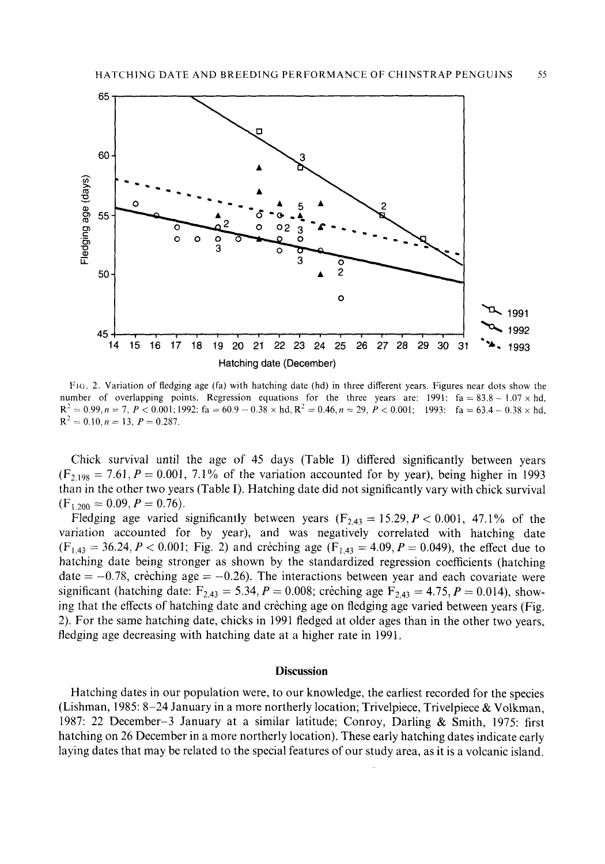

FIG. 2. Variation of fledging age (fa) with hatching date (hd) in three different years. Figures near dots show the number of overlapping points. Regression equations for the three years are: 1991:  $fa = 83.8 - 1.07 \times hd$ ,  $R^2 = 0.99$ ,  $n = 7$ ,  $P < 0.001$ ; 1992: fa = 60.9 - 0.38 × hd,  $R^2 = 0.46$ ,  $n = 29$ ,  $P < 0.001$ ; 1993: fa = 63.4 - 0.38 × hd,  $R^2 = 0.10, n = 13, P = 0.287.$ 

Chick survival until the age of 45 days (Table I) differed significantly between years  $(F_{2,198} = 7.61, P = 0.001, 7.1\%$  of the variation accounted for by year), being higher in 1993 than in the other two years (Table I). Hatching date did not significantly vary with chick survival  $(F<sub>1.200</sub> = 0.09, P = 0.76).$ 

Fledging age varied significantly between years  $(F_{2,43} = 15.29, P < 0.001, 47.1\%$  of the variation accounted for by year), and was negatively correlated with hatching date  $(F_{1,43} = 36.24, P < 0.001$ ; Fig. 2) and creching age  $(F_{1,43} = 4.09, P = 0.049)$ , the effect due to hatching date being stronger as shown by the standardized regression coefficients (hatching date  $= -0.78$ , crèching age  $= -0.26$ ). The interactions between year and each covariate were significant (hatching date:  $F_{2,43} = 5.34$ ,  $P = 0.008$ ; creching age  $F_{2,43} = 4.75$ ,  $P = 0.014$ ), showing that the effects of hatching date and crèching age on fledging age varied between years (Fig. 2). For the same hatching date, chicks in 1991 fledged at older ages than in the other two years, fledging age decreasing with hatching date at a higher rate in 1991.

# **Discussion**

Hatching dates in our population were, to our knowledge, the earliest recorded for the species (Lishman, 1985: 8-24 January in a more northerly location; Trivelpiece, Trivelpiece & Volkman, 1987: 22 December-3 January at a similar latitude; Conroy, Darling & Smith, 1975: first hatching on 26 December in a more northerly location). These early hatching dates indicate early laying dates that may be related to the special features of our study area, as it is a volcanic island.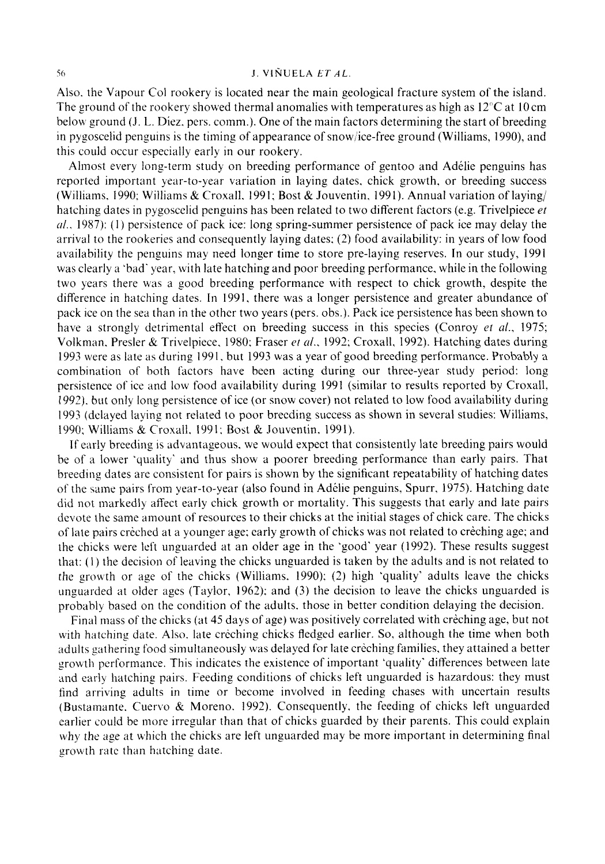# *5 0* **J. VINUELA** *ETAL*

Also. the Vapour Col rookery is located near the main geological fracture system of the island. The ground of the rookery showed thermal anomalies with temperatures as high as  $12^{\circ}$ C at 10 cm below ground (J. L. Diez, pers. comm.). One of the main factors determining the start of breeding in pygoscelid penguins is the timing of appearance of snow/ice-free ground (Williams, 1990), and this could occur especially early in our rookery.

Alinost every long-term study on breeding performance of gentoo and Adelie penguins has reported important year-to-year variation in laying dates, chick growth, or breeding success (Williams, 1990; Williams & Croxall, 1991; Bost & Jouventin, 1991). Annual variation of laying/ hatching dates in pygoscelid penguins has been related to two different factors (e.g. Trivelpiece *et d..* 1987): (I) persistence of pack ice: long spring-summer persistence of pack ice may delay the arrival to the rookeries and consequently laying dates: (2) food availability: in years of low food availability the penguins may need longer time to store pre-laying reserves. In our study, 1991 was clearly a 'bad' year, with late hatching and poor breeding performance, while in the following two years there was a good breeding performance with respect to chick growth, despite the difference in hatching dates. In 1991. there was a longer persistence and greater abundance of pack ice on the sea than in the other two years (pers. obs.). Pack ice persistence has been shown to have a strongly detrimental effect on breeding success in this species (Conroy **et** *al.,* 1975; Volknian. Presler & Trivelpiece. 1980: Fraser *et a/.,* 1992; Croxall, 1992). Hatching dates during 1993 were as late *as* during 1991. but 1993 was a year of good breeding performance. Probab\y a combination of both factors have been acting during our three-year study period: long persistence of ice and low food availability during 1991 (similar to results reported by Croxall, 1992). but only long persistence of ice (or snow cover) not related to low food availability during 1993 (delayed laying not related to poor breeding success as shown in several studies: Williams, 1990; Williams & Croxall. 1991: Bost & Jouventin, 1991).

If early breeding is advantageous, we would expect that consistently late breeding pairs would be of a lower 'quality' and thus show a poorer breeding performance than early pairs. That breeding dates are consistent for pairs is shown by the significant repeatability of hatching dates of the same pairs from year-to-year (also found in Adélie penguins, Spurr, 1975). Hatching date did not markedly affect early chick growth or mortality. This suggests that early and late pairs devote the same amount of resources to their chicks at the initial stages of chick care. The chicks of late pairs creched at *a* younger age; early growth of chicks was not related to creching age; and the chicks were left unguarded at an older age in the 'good' year (1992). These results suggest that: (1) the decision of leaving the chicks unguarded is taken by the adults and is not related to the growth or age of the chicks (Williams, 1990); (2) high 'quality' adults leave the chicks unguarded at older ages (Taylor. 1962): and **(3)** the decision to leave the chicks unguarded is probably based on the condition of the adults. those in better condition delaying the decision.

Final mass of the chicks (at 45 days of age) was positively correlated with creching age, but not with hatching date. Also, late creching chicks fledged earlier. So, although the time when both adults gathering food simultaneously was delayed for late creching families, they attained a better growth performance. This indicates the existence of important 'quality' differences between late and early hatching pairs. Feeding conditions of chicks left unguarded is hazardous: they must find arriving adults in time or become involved in feeding chases with uncertain results (Bustamante. Cuervo & Moreno. 1992). Consequently, the feeding of chicks left unguarded earlier could be more irregular than that of chicks guarded by their parents. This could explain why the age at which the chicks are left unguarded may be more important in determining final growth rate than hatching date.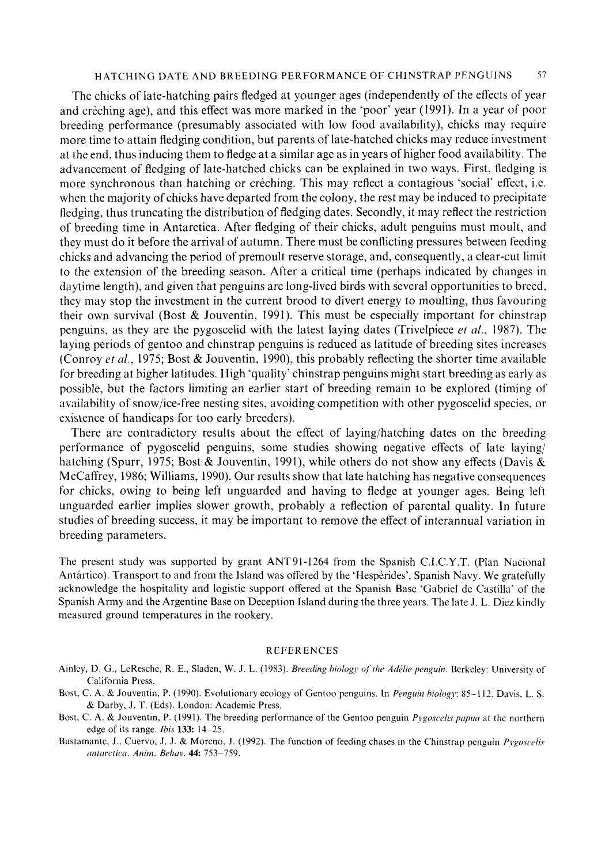# HATCHING DATE AND BREEDING PERFORMANCE OF CHINSTRAP PENGUINS 57

The chicks of late-hatching pairs fledged at younger ages (independently of the effects of year and crèching age), and this effect was more marked in the 'poor' year (1991). In a year of poor breeding performance (presumably associated with low food availability), chicks may require more time to attain fledging condition, but parents of late-hatched chicks may reduce investment at the end, thus inducing them to fledge at a similar age as in years of higher food availability. The advancement of fledging of late-hatched chicks can be explained in two ways. First, fledging is more synchronous than hatching or creching. This may reflect a contagious 'social' effect, i.e. when the majority of chicks have departed from the colony, the rest may be induced to precipitate fledging, thus truncating the distribution of fledging dates. Secondly, it may reflect the restriction of breeding time in Antarctica. After fledging of their chicks, adult penguins must moult, and they must do it before the arrival of autumn. There must be conflicting pressures between feeding chicks and advancing the period of premoult reserve storage, and, consequently, a clear-cut limit to the extension of the breeding season. After a critical time (perhaps indicated by changes in daytime length), and given that penguins are long-lived birds with several opportunities to breed. they may stop the investment in the current brood to divert energy to moulting, thus favouring their own survival (Bost & Jouventin, 1991). This must be especially important for chinstrap penguins, as they are the pygoscelid with the latest laying dates (Trivelpiece *et al..* 1987). The laying periods of gentoo and chinstrap penguins is reduced as latitude of breeding sites increases (Conroy *er al.,* 1975; Bost & Jouventin, 1990), this probably reflecting the shorter time available for breeding at higher latitudes. High 'quality' chinstrap penguins might start breeding as early as possible, but the factors limiting an earlier start of breeding remain to be explored (timing of availability of snow/ice-free nesting sites, avoiding competition with other pygoscelid species. or existence of handicaps for too early breeders).

There are contradictory results about the effect of laying/hatching dates on the breeding performance of pygoscelid penguins, some studies showing negative effects of late laying/ hatching (Spurr, 1975; Bost & Jouventin, 1991), while others do not show any effects (Davis & McCaffrey, 1986; Williams, 1990). Our results show that late hatching has negative consequences for chicks, owing to being left unguarded and having to fledge at younger ages. Being left unguarded earlier implies slower growth, probably a reflection of parental quality. In future studies of breeding success, it may be important to remove the effect of interannual variation in breeding parameters.

The present study was supported by grant ANT91-1264 from the Spanish C.I.C.Y.T. (Plan Nacional Antártico). Transport to and from the Island was offered by the 'Hespérides', Spanish Navy. We gratefully acknowledge the hospitality and logistic support offered at the Spanish Base 'Gabriel de Castilla' of the Spanish Army and the Argentine Base on Deception Island during the three years. The late J. L. Diez kindly measured ground temperatures in the rookery.

#### REFERENCES

- Ainley, D. G., LeResche, R. E., Sladen, W. J. L. (1983). *Breeding biology of the Adélie penguin*. Berkeley: University of California Press.
- Bost. C. A. & Jouventin, P. (1990). Evolutionary ecology of Gentoo penguins. In *Penguin hiologj:* 85-1 12. Davis, L. **S.**  & Darby, J. T. (Eds). London: Academic Press.
- Bost, C. A. & Jouventin, P. (1991). The breeding performance of the Gentoo penguin *Pygoscelis papua* at the northern edge of its range. *his* **133** 14-25.
- Bustamante, J., Cuervo, J. J. & Moreno, J. (1992). The function of feeding chases in the Chinstrap penguin *Preoscelis nntarcticn. Anim. Behav.* **44** 753-759.